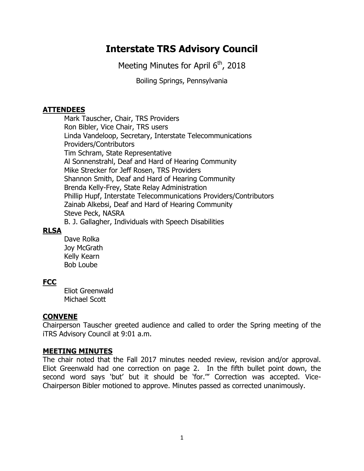# **Interstate TRS Advisory Council**

Meeting Minutes for April  $6<sup>th</sup>$ , 2018

Boiling Springs, Pennsylvania

## **ATTENDEES**

Mark Tauscher, Chair, TRS Providers Ron Bibler, Vice Chair, TRS users Linda Vandeloop, Secretary, Interstate Telecommunications Providers/Contributors Tim Schram, State Representative Al Sonnenstrahl, Deaf and Hard of Hearing Community Mike Strecker for Jeff Rosen, TRS Providers Shannon Smith, Deaf and Hard of Hearing Community Brenda Kelly-Frey, State Relay Administration Phillip Hupf, Interstate Telecommunications Providers/Contributors Zainab Alkebsi, Deaf and Hard of Hearing Community Steve Peck, NASRA B. J. Gallagher, Individuals with Speech Disabilities

# **RLSA**

Dave Rolka Joy McGrath Kelly Kearn Bob Loube

# **FCC**

Eliot Greenwald Michael Scott

# **CONVENE**

Chairperson Tauscher greeted audience and called to order the Spring meeting of the iTRS Advisory Council at 9:01 a.m.

## **MEETING MINUTES**

The chair noted that the Fall 2017 minutes needed review, revision and/or approval. Eliot Greenwald had one correction on page 2. In the fifth bullet point down, the second word says 'but' but it should be 'for.'" Correction was accepted. Vice-Chairperson Bibler motioned to approve. Minutes passed as corrected unanimously.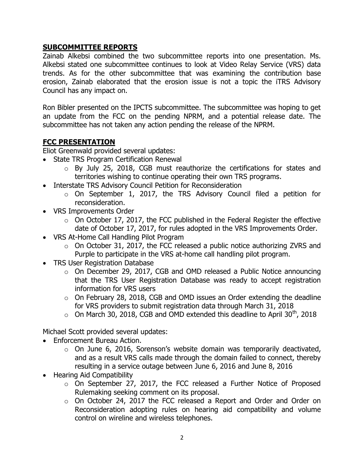# **SUBCOMMITTEE REPORTS**

Zainab Alkebsi combined the two subcommittee reports into one presentation. Ms. Alkebsi stated one subcommittee continues to look at Video Relay Service (VRS) data trends. As for the other subcommittee that was examining the contribution base erosion, Zainab elaborated that the erosion issue is not a topic the iTRS Advisory Council has any impact on.

Ron Bibler presented on the IPCTS subcommittee. The subcommittee was hoping to get an update from the FCC on the pending NPRM, and a potential release date. The subcommittee has not taken any action pending the release of the NPRM.

# **FCC PRESENTATION**

Eliot Greenwald provided several updates:

- State TRS Program Certification Renewal
	- o By July 25, 2018, CGB must reauthorize the certifications for states and territories wishing to continue operating their own TRS programs.
- Interstate TRS Advisory Council Petition for Reconsideration
	- o On September 1, 2017, the TRS Advisory Council filed a petition for reconsideration.
- VRS Improvements Order
	- $\circ$  On October 17, 2017, the FCC published in the Federal Register the effective date of October 17, 2017, for rules adopted in the VRS Improvements Order.
- VRS At-Home Call Handling Pilot Program
	- $\circ$  On October 31, 2017, the FCC released a public notice authorizing ZVRS and Purple to participate in the VRS at-home call handling pilot program.
- TRS User Registration Database
	- o On December 29, 2017, CGB and OMD released a Public Notice announcing that the TRS User Registration Database was ready to accept registration information for VRS users
	- o On February 28, 2018, CGB and OMD issues an Order extending the deadline for VRS providers to submit registration data through March 31, 2018
	- $\circ$  On March 30, 2018, CGB and OMD extended this deadline to April 30<sup>th</sup>, 2018

Michael Scott provided several updates:

- Enforcement Bureau Action.
	- $\circ$  On June 6, 2016, Sorenson's website domain was temporarily deactivated, and as a result VRS calls made through the domain failed to connect, thereby resulting in a service outage between June 6, 2016 and June 8, 2016
- Hearing Aid Compatibility
	- o On September 27, 2017, the FCC released a Further Notice of Proposed Rulemaking seeking comment on its proposal.
	- o On October 24, 2017 the FCC released a Report and Order and Order on Reconsideration adopting rules on hearing aid compatibility and volume control on wireline and wireless telephones.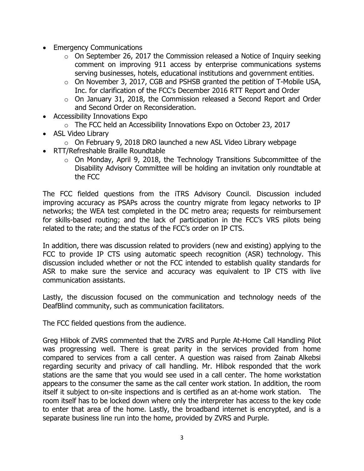- Emergency Communications
	- $\circ$  On September 26, 2017 the Commission released a Notice of Inquiry seeking comment on improving 911 access by enterprise communications systems serving businesses, hotels, educational institutions and government entities.
	- o On November 3, 2017, CGB and PSHSB granted the petition of T-Mobile USA, Inc. for clarification of the FCC's December 2016 RTT Report and Order
	- o On January 31, 2018, the Commission released a Second Report and Order and Second Order on Reconsideration.
- Accessibility Innovations Expo
	- $\circ$  The FCC held an Accessibility Innovations Expo on October 23, 2017
- ASL Video Library
	- o On February 9, 2018 DRO launched a new ASL Video Library webpage
- RTT/Refreshable Braille Roundtable
	- $\circ$  On Monday, April 9, 2018, the Technology Transitions Subcommittee of the Disability Advisory Committee will be holding an invitation only roundtable at the FCC

The FCC fielded questions from the iTRS Advisory Council. Discussion included improving accuracy as PSAPs across the country migrate from legacy networks to IP networks; the WEA test completed in the DC metro area; requests for reimbursement for skills-based routing; and the lack of participation in the FCC's VRS pilots being related to the rate; and the status of the FCC's order on IP CTS.

In addition, there was discussion related to providers (new and existing) applying to the FCC to provide IP CTS using automatic speech recognition (ASR) technology. This discussion included whether or not the FCC intended to establish quality standards for ASR to make sure the service and accuracy was equivalent to IP CTS with live communication assistants.

Lastly, the discussion focused on the communication and technology needs of the DeafBlind community, such as communication facilitators.

The FCC fielded questions from the audience.

Greg Hlibok of ZVRS commented that the ZVRS and Purple At-Home Call Handling Pilot was progressing well. There is great parity in the services provided from home compared to services from a call center. A question was raised from Zainab Alkebsi regarding security and privacy of call handling. Mr. Hlibok responded that the work stations are the same that you would see used in a call center. The home workstation appears to the consumer the same as the call center work station. In addition, the room itself it subject to on-site inspections and is certified as an at-home work station. The room itself has to be locked down where only the interpreter has access to the key code to enter that area of the home. Lastly, the broadband internet is encrypted, and is a separate business line run into the home, provided by ZVRS and Purple.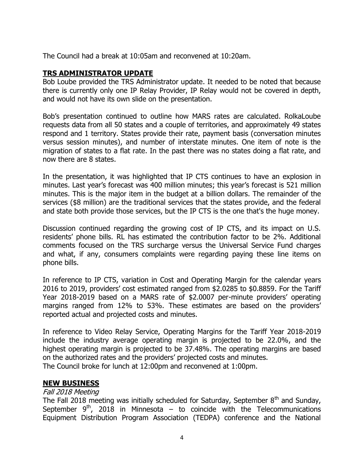The Council had a break at 10:05am and reconvened at 10:20am.

# **TRS ADMINISTRATOR UPDATE**

Bob Loube provided the TRS Administrator update. It needed to be noted that because there is currently only one IP Relay Provider, IP Relay would not be covered in depth, and would not have its own slide on the presentation.

Bob's presentation continued to outline how MARS rates are calculated. RolkaLoube requests data from all 50 states and a couple of territories, and approximately 49 states respond and 1 territory. States provide their rate, payment basis (conversation minutes versus session minutes), and number of interstate minutes. One item of note is the migration of states to a flat rate. In the past there was no states doing a flat rate, and now there are 8 states.

In the presentation, it was highlighted that IP CTS continues to have an explosion in minutes. Last year's forecast was 400 million minutes; this year's forecast is 521 million minutes. This is the major item in the budget at a billion dollars. The remainder of the services (\$8 million) are the traditional services that the states provide, and the federal and state both provide those services, but the IP CTS is the one that's the huge money.

Discussion continued regarding the growing cost of IP CTS, and its impact on U.S. residents' phone bills. RL has estimated the contribution factor to be 2%. Additional comments focused on the TRS surcharge versus the Universal Service Fund charges and what, if any, consumers complaints were regarding paying these line items on phone bills.

In reference to IP CTS, variation in Cost and Operating Margin for the calendar years 2016 to 2019, providers' cost estimated ranged from \$2.0285 to \$0.8859. For the Tariff Year 2018-2019 based on a MARS rate of \$2.0007 per-minute providers' operating margins ranged from 12% to 53%. These estimates are based on the providers' reported actual and projected costs and minutes.

In reference to Video Relay Service, Operating Margins for the Tariff Year 2018-2019 include the industry average operating margin is projected to be 22.0%, and the highest operating margin is projected to be 37.48%. The operating margins are based on the authorized rates and the providers' projected costs and minutes. The Council broke for lunch at 12:00pm and reconvened at 1:00pm.

# **NEW BUSINESS**

## Fall 2018 Meeting

The Fall 2018 meeting was initially scheduled for Saturday, September  $8<sup>th</sup>$  and Sunday, September  $9<sup>th</sup>$ , 2018 in Minnesota – to coincide with the Telecommunications Equipment Distribution Program Association (TEDPA) conference and the National